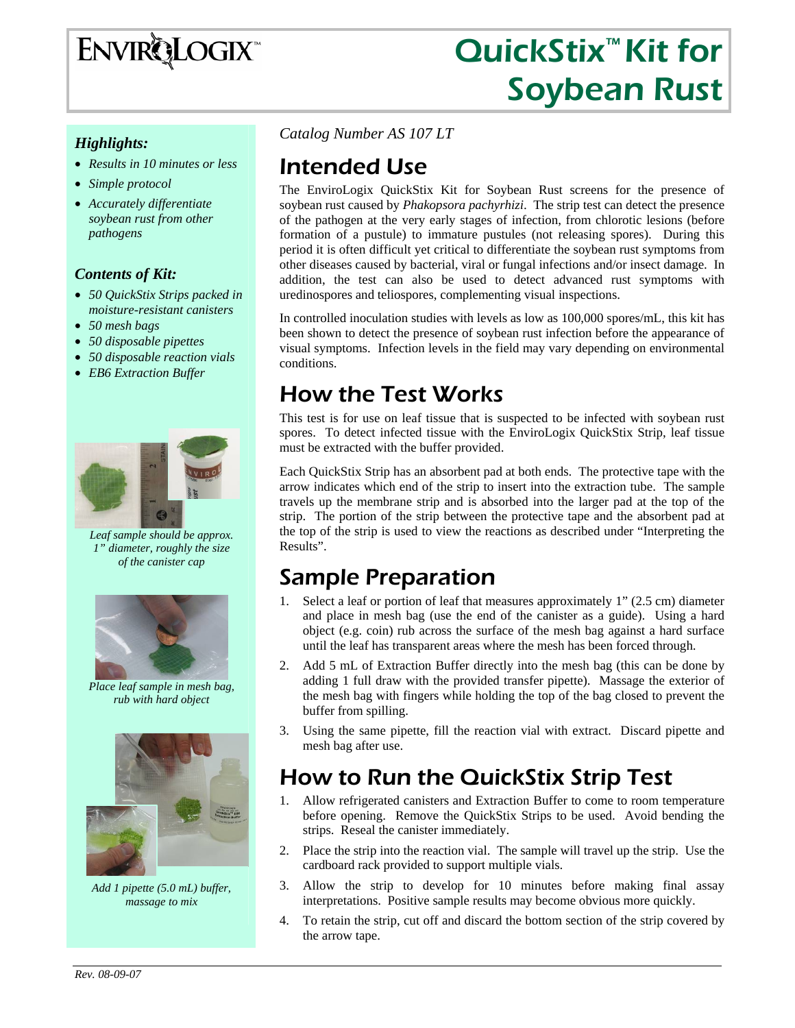

# QuickStix<sup>™</sup> Kit for Soybean Rust

#### *Highlights:*

- *Results in 10 minutes or less*
- *Simple protocol*
- *Accurately differentiate soybean rust from other pathogens*

#### *Contents of Kit:*

- *50 QuickStix Strips packed in moisture-resistant canisters*
- *50 mesh bags*
- *50 disposable pipettes*
- *50 disposable reaction vials*
- *EB6 Extraction Buffer*



*Leaf sample should be approx. 1" diameter, roughly the size of the canister cap* 



 *Place leaf sample in mesh bag, rub with hard object* 



*Add 1 pipette (5.0 mL) buffer, massage to mix* 

*Catalog Number AS 107 LT*

### Intended Use

The EnviroLogix QuickStix Kit for Soybean Rust screens for the presence of soybean rust caused by *Phakopsora pachyrhizi*.The strip test can detect the presence of the pathogen at the very early stages of infection, from chlorotic lesions (before formation of a pustule) to immature pustules (not releasing spores). During this period it is often difficult yet critical to differentiate the soybean rust symptoms from other diseases caused by bacterial, viral or fungal infections and/or insect damage. In addition, the test can also be used to detect advanced rust symptoms with uredinospores and teliospores, complementing visual inspections.

In controlled inoculation studies with levels as low as 100,000 spores/mL, this kit has been shown to detect the presence of soybean rust infection before the appearance of visual symptoms. Infection levels in the field may vary depending on environmental conditions.

### How the Test Works

This test is for use on leaf tissue that is suspected to be infected with soybean rust spores. To detect infected tissue with the EnviroLogix QuickStix Strip, leaf tissue must be extracted with the buffer provided.

Each QuickStix Strip has an absorbent pad at both ends. The protective tape with the arrow indicates which end of the strip to insert into the extraction tube. The sample travels up the membrane strip and is absorbed into the larger pad at the top of the strip. The portion of the strip between the protective tape and the absorbent pad at the top of the strip is used to view the reactions as described under "Interpreting the Results".

### Sample Preparation

- 1. Select a leaf or portion of leaf that measures approximately 1" (2.5 cm) diameter and place in mesh bag (use the end of the canister as a guide). Using a hard object (e.g. coin) rub across the surface of the mesh bag against a hard surface until the leaf has transparent areas where the mesh has been forced through.
- 2. Add 5 mL of Extraction Buffer directly into the mesh bag (this can be done by adding 1 full draw with the provided transfer pipette). Massage the exterior of the mesh bag with fingers while holding the top of the bag closed to prevent the buffer from spilling.
- 3. Using the same pipette, fill the reaction vial with extract. Discard pipette and mesh bag after use.

## How to Run the QuickStix Strip Test

- 1. Allow refrigerated canisters and Extraction Buffer to come to room temperature before opening. Remove the QuickStix Strips to be used. Avoid bending the strips. Reseal the canister immediately.
- 2. Place the strip into the reaction vial. The sample will travel up the strip. Use the cardboard rack provided to support multiple vials.
- 3. Allow the strip to develop for 10 minutes before making final assay interpretations. Positive sample results may become obvious more quickly.
- 4. To retain the strip, cut off and discard the bottom section of the strip covered by the arrow tape.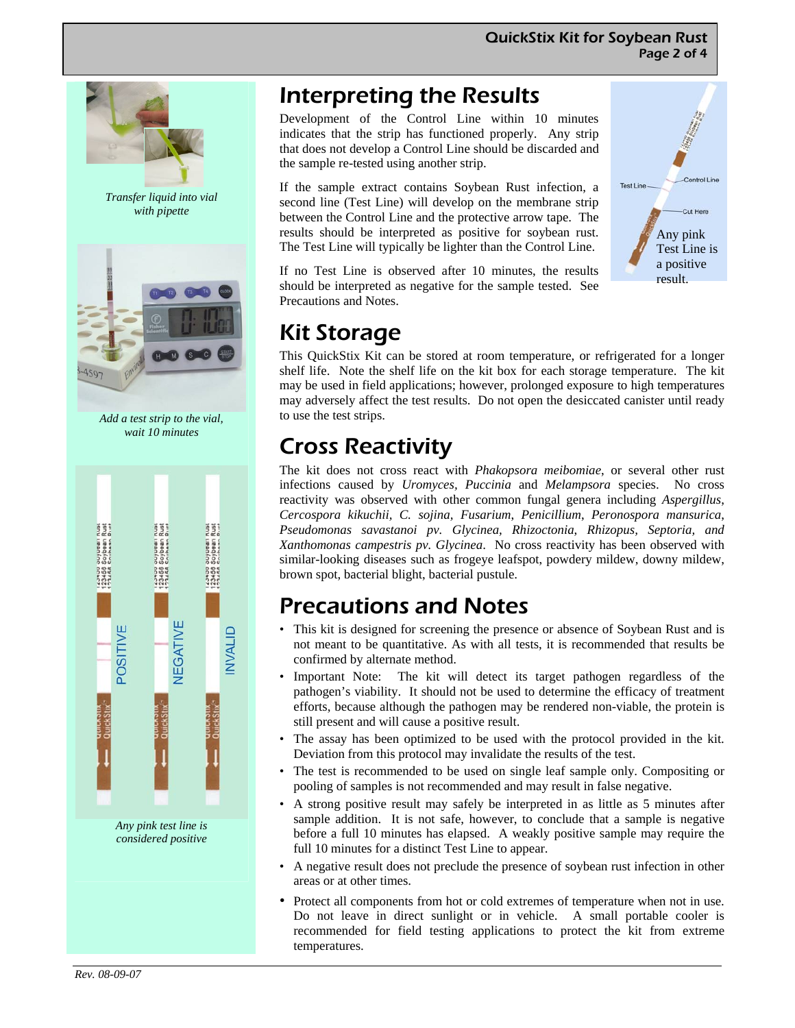

*Transfer liquid into vial with pipette* 



*Add a test strip to the vial, wait 10 minutes* 



*Any pink test line is considered positive* 

### Interpreting the Results

Development of the Control Line within 10 minutes indicates that the strip has functioned properly. Any strip that does not develop a Control Line should be discarded and the sample re-tested using another strip.

If the sample extract contains Soybean Rust infection, a second line (Test Line) will develop on the membrane strip between the Control Line and the protective arrow tape. The results should be interpreted as positive for soybean rust. The Test Line will typically be lighter than the Control Line.

If no Test Line is observed after 10 minutes, the results should be interpreted as negative for the sample tested. See Precautions and Notes.

## Kit Storage

This QuickStix Kit can be stored at room temperature, or refrigerated for a longer shelf life. Note the shelf life on the kit box for each storage temperature. The kit may be used in field applications; however, prolonged exposure to high temperatures may adversely affect the test results. Do not open the desiccated canister until ready to use the test strips.

# Cross Reactivity

The kit does not cross react with *Phakopsora meibomiae*, or several other rust infections caused by *Uromyces, Puccinia* and *Melampsora* species. No cross reactivity was observed with other common fungal genera including *Aspergillus*, *Cercospora kikuchii, C. sojina, Fusarium*, *Penicillium*, *Peronospora mansurica*, *Pseudomonas savastanoi pv. Glycinea, Rhizoctonia*, *Rhizopus, Septoria, and Xanthomonas campestris pv. Glycinea*. No cross reactivity has been observed with similar-looking diseases such as frogeye leafspot, powdery mildew, downy mildew, brown spot, bacterial blight, bacterial pustule.

### Precautions and Notes

- This kit is designed for screening the presence or absence of Soybean Rust and is not meant to be quantitative. As with all tests, it is recommended that results be confirmed by alternate method.
- Important Note: The kit will detect its target pathogen regardless of the pathogen's viability. It should not be used to determine the efficacy of treatment efforts, because although the pathogen may be rendered non-viable, the protein is still present and will cause a positive result.
- The assay has been optimized to be used with the protocol provided in the kit. Deviation from this protocol may invalidate the results of the test.
- The test is recommended to be used on single leaf sample only. Compositing or pooling of samples is not recommended and may result in false negative.
- A strong positive result may safely be interpreted in as little as 5 minutes after sample addition. It is not safe, however, to conclude that a sample is negative before a full 10 minutes has elapsed. A weakly positive sample may require the full 10 minutes for a distinct Test Line to appear.
- A negative result does not preclude the presence of soybean rust infection in other areas or at other times.
- Protect all components from hot or cold extremes of temperature when not in use. Do not leave in direct sunlight or in vehicle. A small portable cooler is recommended for field testing applications to protect the kit from extreme temperatures.

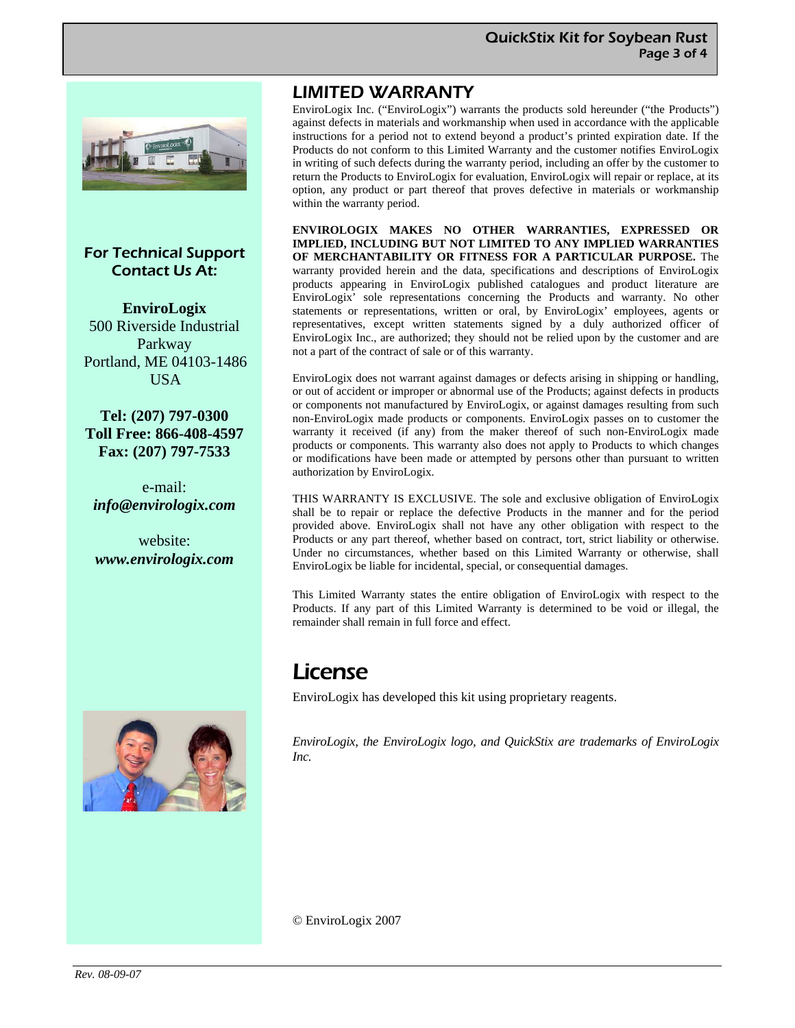

#### For Technical Support Contact Us At:

**EnviroLogix**  500 Riverside Industrial Parkway Portland, ME 04103-1486 USA

**Tel: (207) 797-0300 Toll Free: 866-408-4597 Fax: (207) 797-7533** 

e-mail: *info@envirologix.com* 

website: *www.envirologix.com* 



#### LIMITED WARRANTY

EnviroLogix Inc. ("EnviroLogix") warrants the products sold hereunder ("the Products") against defects in materials and workmanship when used in accordance with the applicable instructions for a period not to extend beyond a product's printed expiration date. If the Products do not conform to this Limited Warranty and the customer notifies EnviroLogix in writing of such defects during the warranty period, including an offer by the customer to return the Products to EnviroLogix for evaluation, EnviroLogix will repair or replace, at its option, any product or part thereof that proves defective in materials or workmanship within the warranty period.

**ENVIROLOGIX MAKES NO OTHER WARRANTIES, EXPRESSED OR IMPLIED, INCLUDING BUT NOT LIMITED TO ANY IMPLIED WARRANTIES OF MERCHANTABILITY OR FITNESS FOR A PARTICULAR PURPOSE.** The warranty provided herein and the data, specifications and descriptions of EnviroLogix products appearing in EnviroLogix published catalogues and product literature are EnviroLogix' sole representations concerning the Products and warranty. No other statements or representations, written or oral, by EnviroLogix' employees, agents or representatives, except written statements signed by a duly authorized officer of EnviroLogix Inc., are authorized; they should not be relied upon by the customer and are not a part of the contract of sale or of this warranty.

EnviroLogix does not warrant against damages or defects arising in shipping or handling, or out of accident or improper or abnormal use of the Products; against defects in products or components not manufactured by EnviroLogix, or against damages resulting from such non-EnviroLogix made products or components. EnviroLogix passes on to customer the warranty it received (if any) from the maker thereof of such non-EnviroLogix made products or components. This warranty also does not apply to Products to which changes or modifications have been made or attempted by persons other than pursuant to written authorization by EnviroLogix.

THIS WARRANTY IS EXCLUSIVE. The sole and exclusive obligation of EnviroLogix shall be to repair or replace the defective Products in the manner and for the period provided above. EnviroLogix shall not have any other obligation with respect to the Products or any part thereof, whether based on contract, tort, strict liability or otherwise. Under no circumstances, whether based on this Limited Warranty or otherwise, shall EnviroLogix be liable for incidental, special, or consequential damages.

This Limited Warranty states the entire obligation of EnviroLogix with respect to the Products. If any part of this Limited Warranty is determined to be void or illegal, the remainder shall remain in full force and effect.

#### **License**

EnviroLogix has developed this kit using proprietary reagents.

*EnviroLogix, the EnviroLogix logo, and QuickStix are trademarks of EnviroLogix Inc.* 

© EnviroLogix 2007